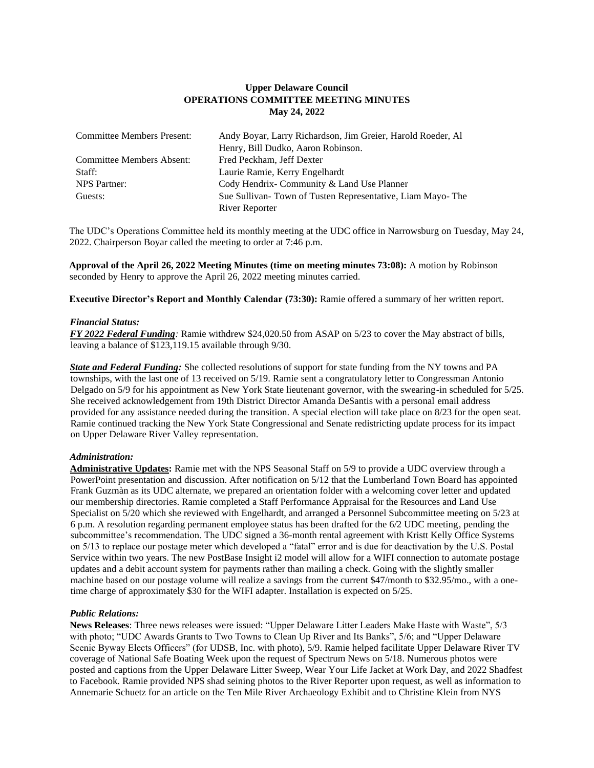# **Upper Delaware Council OPERATIONS COMMITTEE MEETING MINUTES May 24, 2022**

| <b>Committee Members Present:</b> | Andy Boyar, Larry Richardson, Jim Greier, Harold Roeder, Al |
|-----------------------------------|-------------------------------------------------------------|
|                                   | Henry, Bill Dudko, Aaron Robinson.                          |
| Committee Members Absent:         | Fred Peckham, Jeff Dexter                                   |
| Staff:                            | Laurie Ramie, Kerry Engelhardt                              |
| NPS Partner:                      | Cody Hendrix-Community & Land Use Planner                   |
| Guests:                           | Sue Sullivan-Town of Tusten Representative, Liam Mayo-The   |
|                                   | River Reporter                                              |

The UDC's Operations Committee held its monthly meeting at the UDC office in Narrowsburg on Tuesday, May 24, 2022. Chairperson Boyar called the meeting to order at 7:46 p.m.

**Approval of the April 26, 2022 Meeting Minutes (time on meeting minutes 73:08):** A motion by Robinson seconded by Henry to approve the April 26, 2022 meeting minutes carried.

**Executive Director's Report and Monthly Calendar (73:30):** Ramie offered a summary of her written report.

### *Financial Status:*

*FY 2022 Federal Funding:* Ramie withdrew \$24,020.50 from ASAP on 5/23 to cover the May abstract of bills, leaving a balance of \$123,119.15 available through 9/30.

*State and Federal Funding:* She collected resolutions of support for state funding from the NY towns and PA townships, with the last one of 13 received on 5/19. Ramie sent a congratulatory letter to Congressman Antonio Delgado on 5/9 for his appointment as New York State lieutenant governor, with the swearing-in scheduled for 5/25. She received acknowledgement from 19th District Director Amanda DeSantis with a personal email address provided for any assistance needed during the transition. A special election will take place on 8/23 for the open seat. Ramie continued tracking the New York State Congressional and Senate redistricting update process for its impact on Upper Delaware River Valley representation.

# *Administration:*

**Administrative Updates:** Ramie met with the NPS Seasonal Staff on 5/9 to provide a UDC overview through a PowerPoint presentation and discussion. After notification on 5/12 that the Lumberland Town Board has appointed Frank Guzmàn as its UDC alternate, we prepared an orientation folder with a welcoming cover letter and updated our membership directories. Ramie completed a Staff Performance Appraisal for the Resources and Land Use Specialist on 5/20 which she reviewed with Engelhardt, and arranged a Personnel Subcommittee meeting on 5/23 at 6 p.m. A resolution regarding permanent employee status has been drafted for the 6/2 UDC meeting, pending the subcommittee's recommendation. The UDC signed a 36-month rental agreement with Kristt Kelly Office Systems on 5/13 to replace our postage meter which developed a "fatal" error and is due for deactivation by the U.S. Postal Service within two years. The new PostBase Insight i2 model will allow for a WIFI connection to automate postage updates and a debit account system for payments rather than mailing a check. Going with the slightly smaller machine based on our postage volume will realize a savings from the current \$47/month to \$32.95/mo., with a onetime charge of approximately \$30 for the WIFI adapter. Installation is expected on 5/25.

# *Public Relations:*

**News Releases**: Three news releases were issued: "Upper Delaware Litter Leaders Make Haste with Waste", 5/3 with photo; "UDC Awards Grants to Two Towns to Clean Up River and Its Banks", 5/6; and "Upper Delaware" Scenic Byway Elects Officers" (for UDSB, Inc. with photo), 5/9. Ramie helped facilitate Upper Delaware River TV coverage of National Safe Boating Week upon the request of Spectrum News on 5/18. Numerous photos were posted and captions from the Upper Delaware Litter Sweep, Wear Your Life Jacket at Work Day, and 2022 Shadfest to Facebook. Ramie provided NPS shad seining photos to the River Reporter upon request, as well as information to Annemarie Schuetz for an article on the Ten Mile River Archaeology Exhibit and to Christine Klein from NYS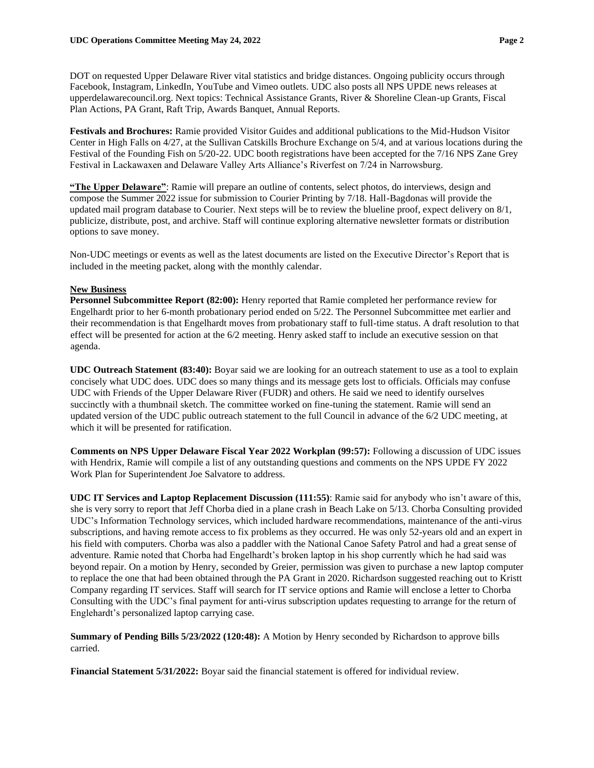DOT on requested Upper Delaware River vital statistics and bridge distances. Ongoing publicity occurs through Facebook, Instagram, LinkedIn, YouTube and Vimeo outlets. UDC also posts all NPS UPDE news releases at upperdelawarecouncil.org. Next topics: Technical Assistance Grants, River & Shoreline Clean-up Grants, Fiscal Plan Actions, PA Grant, Raft Trip, Awards Banquet, Annual Reports.

**Festivals and Brochures:** Ramie provided Visitor Guides and additional publications to the Mid-Hudson Visitor Center in High Falls on 4/27, at the Sullivan Catskills Brochure Exchange on 5/4, and at various locations during the Festival of the Founding Fish on 5/20-22. UDC booth registrations have been accepted for the 7/16 NPS Zane Grey Festival in Lackawaxen and Delaware Valley Arts Alliance's Riverfest on 7/24 in Narrowsburg.

**"The Upper Delaware"**: Ramie will prepare an outline of contents, select photos, do interviews, design and compose the Summer 2022 issue for submission to Courier Printing by 7/18. Hall-Bagdonas will provide the updated mail program database to Courier. Next steps will be to review the blueline proof, expect delivery on 8/1, publicize, distribute, post, and archive. Staff will continue exploring alternative newsletter formats or distribution options to save money.

Non-UDC meetings or events as well as the latest documents are listed on the Executive Director's Report that is included in the meeting packet, along with the monthly calendar.

#### **New Business**

**Personnel Subcommittee Report (82:00):** Henry reported that Ramie completed her performance review for Engelhardt prior to her 6-month probationary period ended on 5/22. The Personnel Subcommittee met earlier and their recommendation is that Engelhardt moves from probationary staff to full-time status. A draft resolution to that effect will be presented for action at the 6/2 meeting. Henry asked staff to include an executive session on that agenda.

**UDC Outreach Statement (83:40):** Boyar said we are looking for an outreach statement to use as a tool to explain concisely what UDC does. UDC does so many things and its message gets lost to officials. Officials may confuse UDC with Friends of the Upper Delaware River (FUDR) and others. He said we need to identify ourselves succinctly with a thumbnail sketch. The committee worked on fine-tuning the statement. Ramie will send an updated version of the UDC public outreach statement to the full Council in advance of the 6/2 UDC meeting, at which it will be presented for ratification.

**Comments on NPS Upper Delaware Fiscal Year 2022 Workplan (99:57):** Following a discussion of UDC issues with Hendrix, Ramie will compile a list of any outstanding questions and comments on the NPS UPDE FY 2022 Work Plan for Superintendent Joe Salvatore to address.

**UDC IT Services and Laptop Replacement Discussion (111:55)**: Ramie said for anybody who isn't aware of this, she is very sorry to report that Jeff Chorba died in a plane crash in Beach Lake on 5/13. Chorba Consulting provided UDC's Information Technology services, which included hardware recommendations, maintenance of the anti-virus subscriptions, and having remote access to fix problems as they occurred. He was only 52-years old and an expert in his field with computers. Chorba was also a paddler with the National Canoe Safety Patrol and had a great sense of adventure. Ramie noted that Chorba had Engelhardt's broken laptop in his shop currently which he had said was beyond repair. On a motion by Henry, seconded by Greier, permission was given to purchase a new laptop computer to replace the one that had been obtained through the PA Grant in 2020. Richardson suggested reaching out to Kristt Company regarding IT services. Staff will search for IT service options and Ramie will enclose a letter to Chorba Consulting with the UDC's final payment for anti-virus subscription updates requesting to arrange for the return of Englehardt's personalized laptop carrying case.

**Summary of Pending Bills 5/23/2022 (120:48):** A Motion by Henry seconded by Richardson to approve bills carried.

**Financial Statement 5/31/2022:** Boyar said the financial statement is offered for individual review.